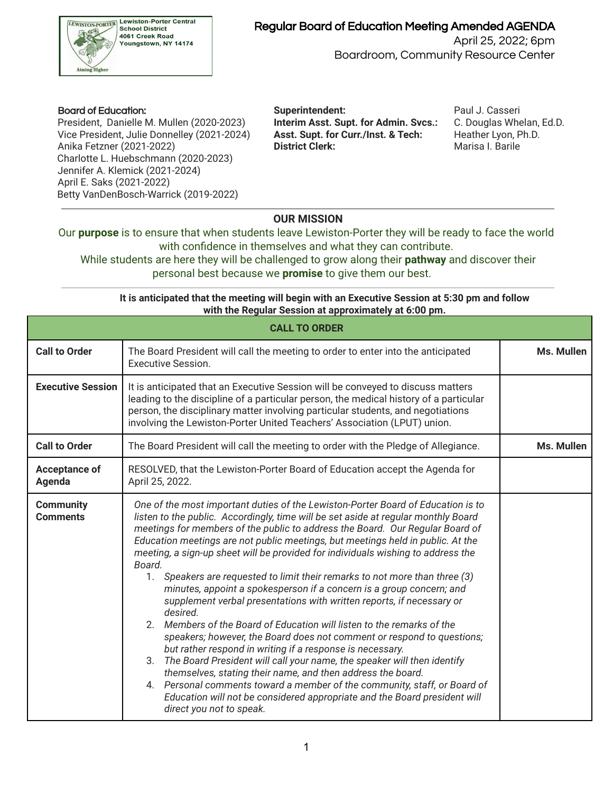

 April 25, 2022; 6pm Boardroom, Community Resource Center

 President, Danielle M. Mullen (2020-2023) **Interim Asst. Supt. for Admin. Svcs.:** C. Douglas Whelan, Ed.D. Vice President, Julie Donnelley (2021-2024) **Asst. Supt. for Curr./Inst. & Tech:** Heather Lyon, Ph.D. Anika Fetzner (2021-2022) **District Clerk:** Marisa I. Barile Charlotte L. Huebschmann (2020-2023) Jennifer A. Klemick (2021-2024) April E. Saks (2021-2022) Betty VanDenBosch-Warrick (2019-2022)

Board of Education: **Superintendent:** Paul J. Casseri

## **OUR MISSION**

 Our **purpose** is to ensure that when students leave Lewiston-Porter they will be ready to face the world with confidence in themselves and what they can contribute.

 While students are here they will be challenged to grow along their **pathway** and discover their personal best because we **promise** to give them our best.

### **It is anticipated that the meeting will begin with an Executive Session at 5:30 pm and follow with the Regular Session at approximately at 6:00 pm.**

| <b>CALL TO ORDER</b>                |                                                                                                                                                                                                                                                                                                                                                                                                                                                                                                                                                                                                                                                                                                                                                                                                                                                                                                                                                                                                                                                                                                                                                                                                                                                   |            |  |  |  |
|-------------------------------------|---------------------------------------------------------------------------------------------------------------------------------------------------------------------------------------------------------------------------------------------------------------------------------------------------------------------------------------------------------------------------------------------------------------------------------------------------------------------------------------------------------------------------------------------------------------------------------------------------------------------------------------------------------------------------------------------------------------------------------------------------------------------------------------------------------------------------------------------------------------------------------------------------------------------------------------------------------------------------------------------------------------------------------------------------------------------------------------------------------------------------------------------------------------------------------------------------------------------------------------------------|------------|--|--|--|
| <b>Call to Order</b>                | The Board President will call the meeting to order to enter into the anticipated<br>Executive Session.                                                                                                                                                                                                                                                                                                                                                                                                                                                                                                                                                                                                                                                                                                                                                                                                                                                                                                                                                                                                                                                                                                                                            | Ms. Mullen |  |  |  |
| <b>Executive Session</b>            | It is anticipated that an Executive Session will be conveyed to discuss matters<br>leading to the discipline of a particular person, the medical history of a particular<br>person, the disciplinary matter involving particular students, and negotiations<br>involving the Lewiston-Porter United Teachers' Association (LPUT) union.                                                                                                                                                                                                                                                                                                                                                                                                                                                                                                                                                                                                                                                                                                                                                                                                                                                                                                           |            |  |  |  |
| <b>Call to Order</b>                | Ms. Mullen<br>The Board President will call the meeting to order with the Pledge of Allegiance.                                                                                                                                                                                                                                                                                                                                                                                                                                                                                                                                                                                                                                                                                                                                                                                                                                                                                                                                                                                                                                                                                                                                                   |            |  |  |  |
| <b>Acceptance of</b><br>Agenda      | RESOLVED, that the Lewiston-Porter Board of Education accept the Agenda for<br>April 25, 2022.                                                                                                                                                                                                                                                                                                                                                                                                                                                                                                                                                                                                                                                                                                                                                                                                                                                                                                                                                                                                                                                                                                                                                    |            |  |  |  |
| <b>Community</b><br><b>Comments</b> | One of the most important duties of the Lewiston-Porter Board of Education is to<br>listen to the public. Accordingly, time will be set aside at regular monthly Board<br>meetings for members of the public to address the Board. Our Regular Board of<br>Education meetings are not public meetings, but meetings held in public. At the<br>meeting, a sign-up sheet will be provided for individuals wishing to address the<br>Board.<br>Speakers are requested to limit their remarks to not more than three (3)<br>1.<br>minutes, appoint a spokesperson if a concern is a group concern; and<br>supplement verbal presentations with written reports, if necessary or<br>desired.<br>Members of the Board of Education will listen to the remarks of the<br>2.<br>speakers; however, the Board does not comment or respond to questions;<br>but rather respond in writing if a response is necessary.<br>The Board President will call your name, the speaker will then identify<br>3.<br>themselves, stating their name, and then address the board.<br>4. Personal comments toward a member of the community, staff, or Board of<br>Education will not be considered appropriate and the Board president will<br>direct you not to speak. |            |  |  |  |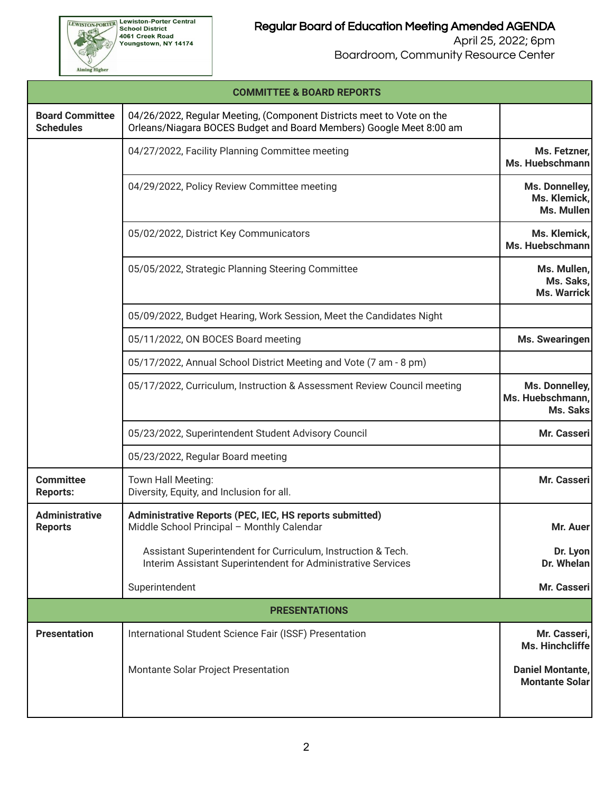Aiming Higher

 April 25, 2022; 6pm Boardroom, Community Resource Center

| <b>COMMITTEE &amp; BOARD REPORTS</b>       |                                                                                                                                              |                                                |  |  |  |  |
|--------------------------------------------|----------------------------------------------------------------------------------------------------------------------------------------------|------------------------------------------------|--|--|--|--|
| <b>Board Committee</b><br><b>Schedules</b> | 04/26/2022, Regular Meeting, (Component Districts meet to Vote on the<br>Orleans/Niagara BOCES Budget and Board Members) Google Meet 8:00 am |                                                |  |  |  |  |
|                                            | 04/27/2022, Facility Planning Committee meeting                                                                                              | Ms. Fetzner,<br>Ms. Huebschmann                |  |  |  |  |
|                                            | 04/29/2022, Policy Review Committee meeting                                                                                                  |                                                |  |  |  |  |
|                                            | 05/02/2022, District Key Communicators                                                                                                       | Ms. Klemick,<br>Ms. Huebschmann                |  |  |  |  |
|                                            | 05/05/2022, Strategic Planning Steering Committee                                                                                            | Ms. Mullen,<br>Ms. Saks,<br>Ms. Warrick        |  |  |  |  |
|                                            | 05/09/2022, Budget Hearing, Work Session, Meet the Candidates Night                                                                          |                                                |  |  |  |  |
|                                            | 05/11/2022, ON BOCES Board meeting                                                                                                           |                                                |  |  |  |  |
|                                            |                                                                                                                                              |                                                |  |  |  |  |
|                                            | 05/17/2022, Curriculum, Instruction & Assessment Review Council meeting                                                                      | Ms. Donnelley,<br>Ms. Huebschmann,<br>Ms. Saks |  |  |  |  |
|                                            | 05/23/2022, Superintendent Student Advisory Council                                                                                          | Mr. Casseri                                    |  |  |  |  |
|                                            | 05/23/2022, Regular Board meeting                                                                                                            |                                                |  |  |  |  |
| <b>Committee</b><br><b>Reports:</b>        | Town Hall Meeting:<br>Diversity, Equity, and Inclusion for all.                                                                              | Mr. Casseri                                    |  |  |  |  |
| <b>Administrative</b><br><b>Reports</b>    | Administrative Reports (PEC, IEC, HS reports submitted)<br>Middle School Principal - Monthly Calendar                                        | Mr. Auer                                       |  |  |  |  |
|                                            | Assistant Superintendent for Curriculum, Instruction & Tech.<br>Interim Assistant Superintendent for Administrative Services                 | Dr. Lyon<br>Dr. Whelan                         |  |  |  |  |
|                                            | Superintendent                                                                                                                               | Mr. Casseri                                    |  |  |  |  |
| <b>PRESENTATIONS</b>                       |                                                                                                                                              |                                                |  |  |  |  |
| <b>Presentation</b>                        | International Student Science Fair (ISSF) Presentation                                                                                       | Mr. Casseri,<br>Ms. Hinchcliffe                |  |  |  |  |
|                                            | Montante Solar Project Presentation                                                                                                          | Daniel Montante,<br><b>Montante Solar</b>      |  |  |  |  |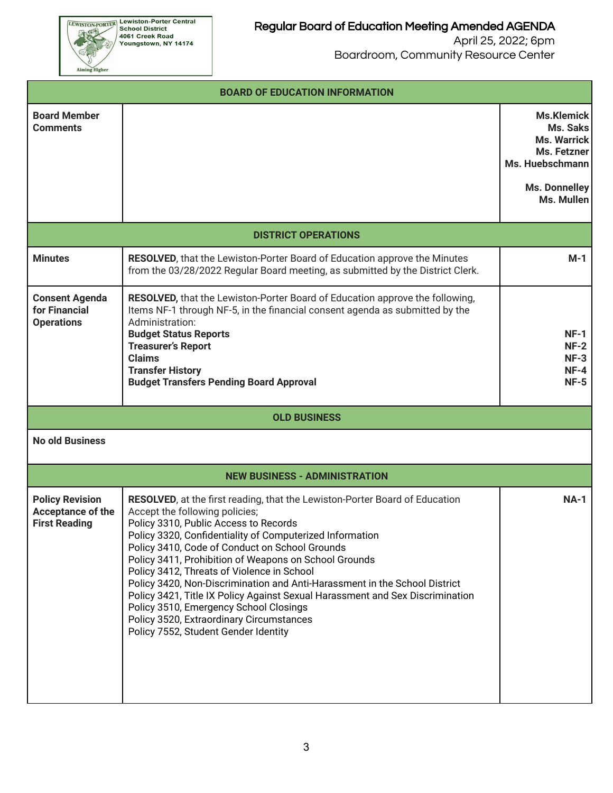Aiming Higher

| <b>BOARD OF EDUCATION INFORMATION</b>                                      |                                                                                                                                                                                                                                                                                                                                                                                                                                                                                                                                                                                      |                                                                                                               |  |  |  |
|----------------------------------------------------------------------------|--------------------------------------------------------------------------------------------------------------------------------------------------------------------------------------------------------------------------------------------------------------------------------------------------------------------------------------------------------------------------------------------------------------------------------------------------------------------------------------------------------------------------------------------------------------------------------------|---------------------------------------------------------------------------------------------------------------|--|--|--|
| <b>Board Member</b><br><b>Comments</b>                                     |                                                                                                                                                                                                                                                                                                                                                                                                                                                                                                                                                                                      | <b>Ms.Klemick</b><br>Ms. Saks<br><b>Ms. Warrick</b><br>Ms. Fetzner<br>Ms. Huebschmann<br><b>Ms. Donnelley</b> |  |  |  |
|                                                                            |                                                                                                                                                                                                                                                                                                                                                                                                                                                                                                                                                                                      | Ms. Mullen                                                                                                    |  |  |  |
|                                                                            | <b>DISTRICT OPERATIONS</b>                                                                                                                                                                                                                                                                                                                                                                                                                                                                                                                                                           |                                                                                                               |  |  |  |
| <b>Minutes</b>                                                             | <b>RESOLVED, that the Lewiston-Porter Board of Education approve the Minutes</b><br>from the 03/28/2022 Regular Board meeting, as submitted by the District Clerk.                                                                                                                                                                                                                                                                                                                                                                                                                   | $M-1$                                                                                                         |  |  |  |
| <b>Consent Agenda</b><br>for Financial<br><b>Operations</b>                | RESOLVED, that the Lewiston-Porter Board of Education approve the following,<br>Items NF-1 through NF-5, in the financial consent agenda as submitted by the<br>Administration:<br><b>Budget Status Reports</b><br><b>Treasurer's Report</b><br><b>Claims</b><br><b>Transfer History</b><br><b>Budget Transfers Pending Board Approval</b>                                                                                                                                                                                                                                           | $NF-1$<br>$NF-2$<br>$NF-3$<br>$NF-4$<br><b>NF-5</b>                                                           |  |  |  |
|                                                                            | <b>OLD BUSINESS</b>                                                                                                                                                                                                                                                                                                                                                                                                                                                                                                                                                                  |                                                                                                               |  |  |  |
| <b>No old Business</b>                                                     |                                                                                                                                                                                                                                                                                                                                                                                                                                                                                                                                                                                      |                                                                                                               |  |  |  |
| <b>NEW BUSINESS - ADMINISTRATION</b>                                       |                                                                                                                                                                                                                                                                                                                                                                                                                                                                                                                                                                                      |                                                                                                               |  |  |  |
| <b>Policy Revision</b><br><b>Acceptance of the</b><br><b>First Reading</b> | RESOLVED, at the first reading, that the Lewiston-Porter Board of Education<br>Accept the following policies;<br>Policy 3310, Public Access to Records<br>Policy 3320, Confidentiality of Computerized Information<br>Policy 3410, Code of Conduct on School Grounds<br>Policy 3411, Prohibition of Weapons on School Grounds<br>Policy 3412, Threats of Violence in School<br>Policy 3420, Non-Discrimination and Anti-Harassment in the School District<br>Policy 3421, Title IX Policy Against Sexual Harassment and Sex Discrimination<br>Policy 3510, Emergency School Closings | $NA-1$                                                                                                        |  |  |  |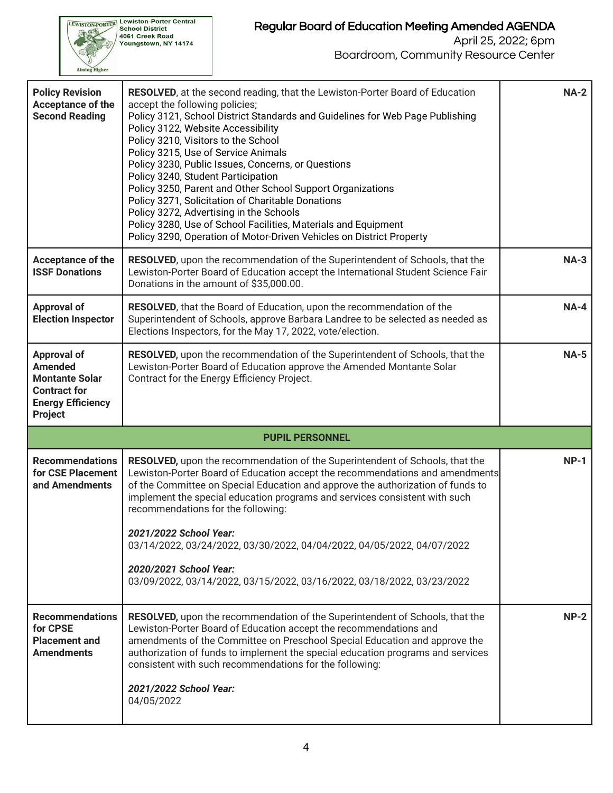# EEWISTON-PORTER Lewiston-Porter Central<br>School District<br>4061 Creek Road<br>Youngstown, NY 14174

Aiming Higher

# Regular Board of Education Meeting Amended AGENDA

April 25, 2022; 6pm

| <b>Policy Revision</b><br>Acceptance of the<br><b>Second Reading</b>                                                               | RESOLVED, at the second reading, that the Lewiston-Porter Board of Education<br>accept the following policies;<br>Policy 3121, School District Standards and Guidelines for Web Page Publishing<br>Policy 3122, Website Accessibility<br>Policy 3210, Visitors to the School<br>Policy 3215, Use of Service Animals<br>Policy 3230, Public Issues, Concerns, or Questions<br>Policy 3240, Student Participation<br>Policy 3250, Parent and Other School Support Organizations<br>Policy 3271, Solicitation of Charitable Donations<br>Policy 3272, Advertising in the Schools<br>Policy 3280, Use of School Facilities, Materials and Equipment<br>Policy 3290, Operation of Motor-Driven Vehicles on District Property | $NA-2$      |
|------------------------------------------------------------------------------------------------------------------------------------|-------------------------------------------------------------------------------------------------------------------------------------------------------------------------------------------------------------------------------------------------------------------------------------------------------------------------------------------------------------------------------------------------------------------------------------------------------------------------------------------------------------------------------------------------------------------------------------------------------------------------------------------------------------------------------------------------------------------------|-------------|
| Acceptance of the<br><b>ISSF Donations</b>                                                                                         | RESOLVED, upon the recommendation of the Superintendent of Schools, that the<br>Lewiston-Porter Board of Education accept the International Student Science Fair<br>Donations in the amount of \$35,000.00.                                                                                                                                                                                                                                                                                                                                                                                                                                                                                                             | $NA-3$      |
| <b>Approval of</b><br><b>Election Inspector</b>                                                                                    | RESOLVED, that the Board of Education, upon the recommendation of the<br>Superintendent of Schools, approve Barbara Landree to be selected as needed as<br>Elections Inspectors, for the May 17, 2022, vote/election.                                                                                                                                                                                                                                                                                                                                                                                                                                                                                                   | $NA-4$      |
| <b>Approval of</b><br><b>Amended</b><br><b>Montante Solar</b><br><b>Contract for</b><br><b>Energy Efficiency</b><br><b>Project</b> | RESOLVED, upon the recommendation of the Superintendent of Schools, that the<br>Lewiston-Porter Board of Education approve the Amended Montante Solar<br>Contract for the Energy Efficiency Project.                                                                                                                                                                                                                                                                                                                                                                                                                                                                                                                    | <b>NA-5</b> |
|                                                                                                                                    |                                                                                                                                                                                                                                                                                                                                                                                                                                                                                                                                                                                                                                                                                                                         |             |
|                                                                                                                                    | <b>PUPIL PERSONNEL</b>                                                                                                                                                                                                                                                                                                                                                                                                                                                                                                                                                                                                                                                                                                  |             |
| <b>Recommendations</b><br>for CSE Placement<br>and Amendments                                                                      | RESOLVED, upon the recommendation of the Superintendent of Schools, that the<br>Lewiston-Porter Board of Education accept the recommendations and amendments<br>of the Committee on Special Education and approve the authorization of funds to<br>implement the special education programs and services consistent with such<br>recommendations for the following:<br>2021/2022 School Year:<br>03/14/2022, 03/24/2022, 03/30/2022, 04/04/2022, 04/05/2022, 04/07/2022<br>2020/2021 School Year:<br>03/09/2022, 03/14/2022, 03/15/2022, 03/16/2022, 03/18/2022, 03/23/2022                                                                                                                                             | $NP-1$      |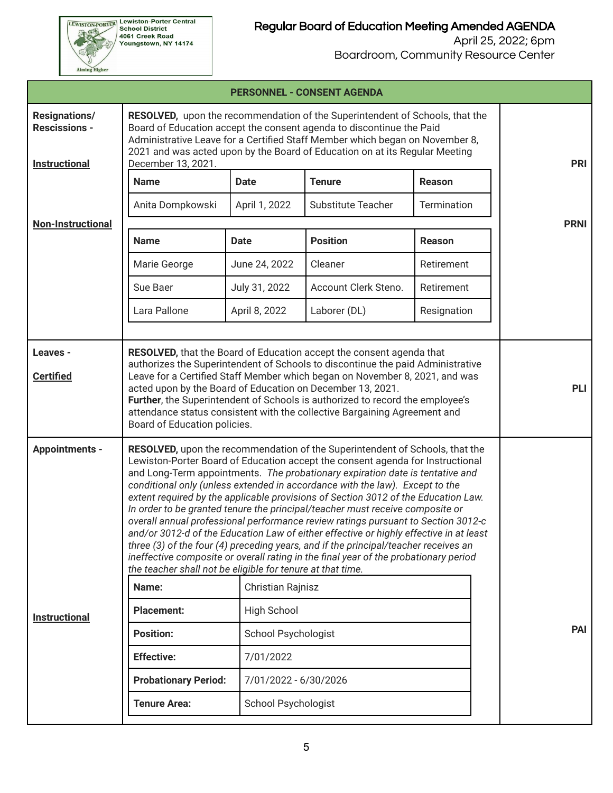EEWISTON-PORTER Lewiston-Porter Central<br>School District<br>4061 Creek Road<br>Youngstown, NY 14174

# Regular Board of Education Meeting Amended AGENDA

April 25, 2022; 6pm

Aiming Higher

|                                                                                                    |                                                                                                                                                                                                                                                                                                                                                                                                                                                                                                                                                                                                                                                                                                                                                                                                                                                                                                                                    |                     | <b>PERSONNEL - CONSENT AGENDA</b> |               |             |
|----------------------------------------------------------------------------------------------------|------------------------------------------------------------------------------------------------------------------------------------------------------------------------------------------------------------------------------------------------------------------------------------------------------------------------------------------------------------------------------------------------------------------------------------------------------------------------------------------------------------------------------------------------------------------------------------------------------------------------------------------------------------------------------------------------------------------------------------------------------------------------------------------------------------------------------------------------------------------------------------------------------------------------------------|---------------------|-----------------------------------|---------------|-------------|
| <b>Resignations/</b><br><b>Rescissions -</b><br><b>Instructional</b>                               | RESOLVED, upon the recommendation of the Superintendent of Schools, that the<br>Board of Education accept the consent agenda to discontinue the Paid<br>Administrative Leave for a Certified Staff Member which began on November 8,<br>2021 and was acted upon by the Board of Education on at its Regular Meeting<br>December 13, 2021.                                                                                                                                                                                                                                                                                                                                                                                                                                                                                                                                                                                          |                     |                                   |               | <b>PRI</b>  |
|                                                                                                    | <b>Name</b>                                                                                                                                                                                                                                                                                                                                                                                                                                                                                                                                                                                                                                                                                                                                                                                                                                                                                                                        | <b>Date</b>         | <b>Tenure</b>                     | <b>Reason</b> |             |
|                                                                                                    | Anita Dompkowski                                                                                                                                                                                                                                                                                                                                                                                                                                                                                                                                                                                                                                                                                                                                                                                                                                                                                                                   | April 1, 2022       | <b>Substitute Teacher</b>         | Termination   |             |
| <b>Non-Instructional</b>                                                                           |                                                                                                                                                                                                                                                                                                                                                                                                                                                                                                                                                                                                                                                                                                                                                                                                                                                                                                                                    |                     |                                   |               | <b>PRNI</b> |
|                                                                                                    | <b>Name</b>                                                                                                                                                                                                                                                                                                                                                                                                                                                                                                                                                                                                                                                                                                                                                                                                                                                                                                                        | <b>Date</b>         | <b>Position</b>                   | <b>Reason</b> |             |
|                                                                                                    | Marie George                                                                                                                                                                                                                                                                                                                                                                                                                                                                                                                                                                                                                                                                                                                                                                                                                                                                                                                       | June 24, 2022       | Cleaner                           | Retirement    |             |
|                                                                                                    | Sue Baer                                                                                                                                                                                                                                                                                                                                                                                                                                                                                                                                                                                                                                                                                                                                                                                                                                                                                                                           | July 31, 2022       | Account Clerk Steno.              | Retirement    |             |
|                                                                                                    | Lara Pallone                                                                                                                                                                                                                                                                                                                                                                                                                                                                                                                                                                                                                                                                                                                                                                                                                                                                                                                       | April 8, 2022       | Laborer (DL)                      | Resignation   |             |
|                                                                                                    |                                                                                                                                                                                                                                                                                                                                                                                                                                                                                                                                                                                                                                                                                                                                                                                                                                                                                                                                    |                     |                                   |               |             |
| Leaves -<br><b>Certified</b>                                                                       | RESOLVED, that the Board of Education accept the consent agenda that<br>authorizes the Superintendent of Schools to discontinue the paid Administrative<br>Leave for a Certified Staff Member which began on November 8, 2021, and was<br><b>PLI</b><br>acted upon by the Board of Education on December 13, 2021.<br>Further, the Superintendent of Schools is authorized to record the employee's<br>attendance status consistent with the collective Bargaining Agreement and<br>Board of Education policies.                                                                                                                                                                                                                                                                                                                                                                                                                   |                     |                                   |               |             |
| <b>Appointments -</b>                                                                              | RESOLVED, upon the recommendation of the Superintendent of Schools, that the<br>Lewiston-Porter Board of Education accept the consent agenda for Instructional<br>and Long-Term appointments. The probationary expiration date is tentative and<br>conditional only (unless extended in accordance with the law). Except to the<br>extent required by the applicable provisions of Section 3012 of the Education Law.<br>In order to be granted tenure the principal/teacher must receive composite or<br>overall annual professional performance review ratings pursuant to Section 3012-c<br>and/or 3012-d of the Education Law of either effective or highly effective in at least<br>three (3) of the four (4) preceding years, and if the principal/teacher receives an<br>ineffective composite or overall rating in the final year of the probationary period<br>the teacher shall not be eligible for tenure at that time. |                     |                                   |               |             |
|                                                                                                    | Name:                                                                                                                                                                                                                                                                                                                                                                                                                                                                                                                                                                                                                                                                                                                                                                                                                                                                                                                              | Christian Rajnisz   |                                   |               |             |
| <b>Instructional</b>                                                                               | <b>Placement:</b>                                                                                                                                                                                                                                                                                                                                                                                                                                                                                                                                                                                                                                                                                                                                                                                                                                                                                                                  | <b>High School</b>  |                                   |               |             |
|                                                                                                    | <b>Position:</b>                                                                                                                                                                                                                                                                                                                                                                                                                                                                                                                                                                                                                                                                                                                                                                                                                                                                                                                   | School Psychologist |                                   |               | PAI         |
|                                                                                                    | <b>Effective:</b>                                                                                                                                                                                                                                                                                                                                                                                                                                                                                                                                                                                                                                                                                                                                                                                                                                                                                                                  | 7/01/2022           |                                   |               |             |
| <b>Probationary Period:</b><br>7/01/2022 - 6/30/2026<br><b>Tenure Area:</b><br>School Psychologist |                                                                                                                                                                                                                                                                                                                                                                                                                                                                                                                                                                                                                                                                                                                                                                                                                                                                                                                                    |                     |                                   |               |             |
|                                                                                                    |                                                                                                                                                                                                                                                                                                                                                                                                                                                                                                                                                                                                                                                                                                                                                                                                                                                                                                                                    |                     |                                   |               |             |
|                                                                                                    |                                                                                                                                                                                                                                                                                                                                                                                                                                                                                                                                                                                                                                                                                                                                                                                                                                                                                                                                    |                     |                                   |               |             |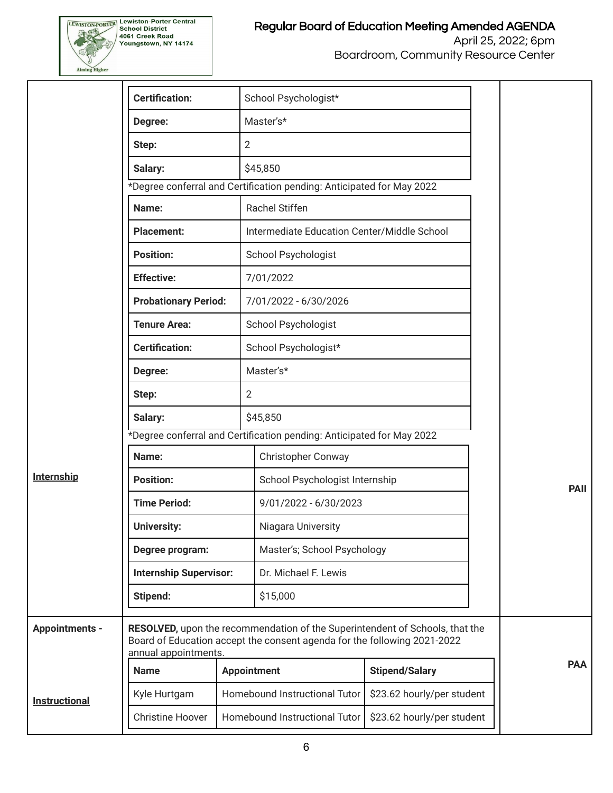

|                                                  | <b>Certification:</b>                                                                                                                                                            |                    | School Psychologist*                                                  |                            |  |             |  |
|--------------------------------------------------|----------------------------------------------------------------------------------------------------------------------------------------------------------------------------------|--------------------|-----------------------------------------------------------------------|----------------------------|--|-------------|--|
|                                                  | Degree:                                                                                                                                                                          |                    | Master's*                                                             |                            |  |             |  |
|                                                  | Step:                                                                                                                                                                            | $\overline{2}$     |                                                                       |                            |  |             |  |
| Salary:                                          |                                                                                                                                                                                  |                    | \$45,850                                                              |                            |  |             |  |
|                                                  |                                                                                                                                                                                  |                    | *Degree conferral and Certification pending: Anticipated for May 2022 |                            |  |             |  |
|                                                  | Name:                                                                                                                                                                            |                    | <b>Rachel Stiffen</b>                                                 |                            |  |             |  |
|                                                  | <b>Placement:</b>                                                                                                                                                                |                    | Intermediate Education Center/Middle School                           |                            |  |             |  |
|                                                  | <b>Position:</b>                                                                                                                                                                 |                    | School Psychologist                                                   |                            |  |             |  |
|                                                  | <b>Effective:</b>                                                                                                                                                                |                    | 7/01/2022                                                             |                            |  |             |  |
|                                                  | <b>Probationary Period:</b>                                                                                                                                                      |                    | 7/01/2022 - 6/30/2026                                                 |                            |  |             |  |
|                                                  | <b>Tenure Area:</b>                                                                                                                                                              |                    | School Psychologist                                                   |                            |  |             |  |
|                                                  | <b>Certification:</b>                                                                                                                                                            |                    | School Psychologist*                                                  |                            |  |             |  |
|                                                  | Degree:                                                                                                                                                                          |                    | Master's*                                                             |                            |  |             |  |
|                                                  | Step:                                                                                                                                                                            | $\overline{2}$     |                                                                       |                            |  |             |  |
|                                                  | Salary:                                                                                                                                                                          |                    | \$45,850                                                              |                            |  |             |  |
|                                                  | *Degree conferral and Certification pending: Anticipated for May 2022                                                                                                            |                    |                                                                       |                            |  |             |  |
|                                                  | Name:                                                                                                                                                                            |                    | Christopher Conway                                                    |                            |  |             |  |
| Internship                                       | <b>Position:</b>                                                                                                                                                                 |                    | School Psychologist Internship                                        |                            |  | <b>PAII</b> |  |
|                                                  | <b>Time Period:</b>                                                                                                                                                              |                    | 9/01/2022 - 6/30/2023                                                 |                            |  |             |  |
|                                                  | <b>University:</b>                                                                                                                                                               | Niagara University |                                                                       |                            |  |             |  |
|                                                  | Master's; School Psychology<br>Degree program:                                                                                                                                   |                    |                                                                       |                            |  |             |  |
| <b>Internship Supervisor:</b><br><b>Stipend:</b> |                                                                                                                                                                                  |                    | Dr. Michael F. Lewis                                                  |                            |  |             |  |
|                                                  |                                                                                                                                                                                  |                    | \$15,000                                                              |                            |  |             |  |
| <b>Appointments -</b>                            | RESOLVED, upon the recommendation of the Superintendent of Schools, that the<br>Board of Education accept the consent agenda for the following 2021-2022<br>annual appointments. |                    |                                                                       |                            |  |             |  |
|                                                  | <b>Name</b>                                                                                                                                                                      | <b>Appointment</b> |                                                                       | <b>Stipend/Salary</b>      |  | <b>PAA</b>  |  |
| <b>Instructional</b>                             | Kyle Hurtgam                                                                                                                                                                     |                    | Homebound Instructional Tutor                                         | \$23.62 hourly/per student |  |             |  |
|                                                  | <b>Christine Hoover</b>                                                                                                                                                          |                    | Homebound Instructional Tutor                                         | \$23.62 hourly/per student |  |             |  |